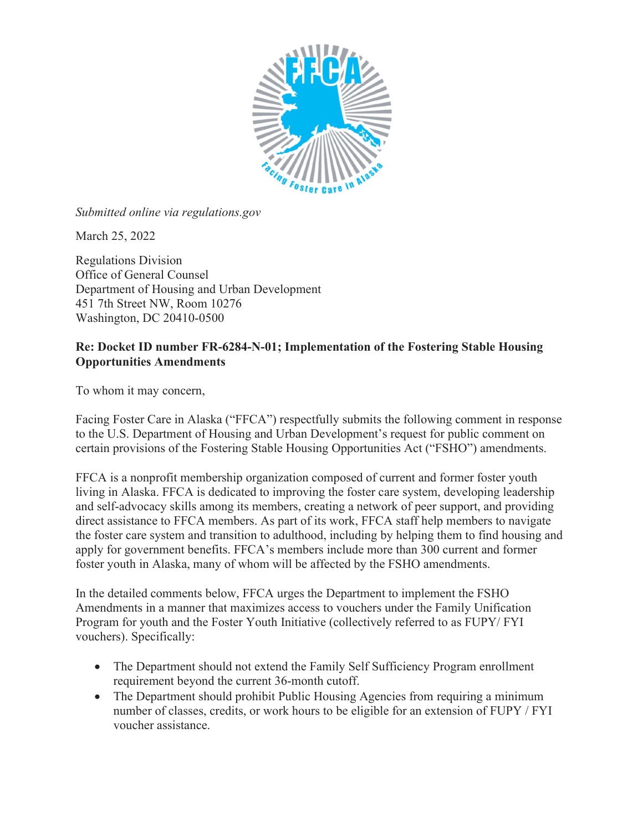

Submitted online via regulations.gov

March 25, 2022

Regulations Division Office of General Counsel Department of Housing and Urban Development 451 7th Street NW, Room 10276 Washington, DC 20410-0500

## Re: Docket ID number FR-6284-N-01; Implementation of the Fostering Stable Housing Opportunities Amendments

To whom it may concern,

Facing Foster Care in Alaska ("FFCA") respectfully submits the following comment in response to the U.S. Department of Housing and Urban Development's request for public comment on certain provisions of the Fostering Stable Housing Opportunities Act ("FSHO") amendments.

FFCA is a nonprofit membership organization composed of current and former foster youth living in Alaska. FFCA is dedicated to improving the foster care system, developing leadership and self-advocacy skills among its members, creating a network of peer support, and providing direct assistance to FFCA members. As part of its work, FFCA staff help members to navigate the foster care system and transition to adulthood, including by helping them to find housing and apply for government benefits. FFCA's members include more than 300 current and former foster youth in Alaska, many of whom will be affected by the FSHO amendments.

In the detailed comments below, FFCA urges the Department to implement the FSHO Amendments in a manner that maximizes access to vouchers under the Family Unification Program for youth and the Foster Youth Initiative (collectively referred to as FUPY/ FYI vouchers). Specifically:

- The Department should not extend the Family Self Sufficiency Program enrollment requirement beyond the current 36-month cutoff.
- The Department should prohibit Public Housing Agencies from requiring a minimum number of classes, credits, or work hours to be eligible for an extension of FUPY / FYI voucher assistance.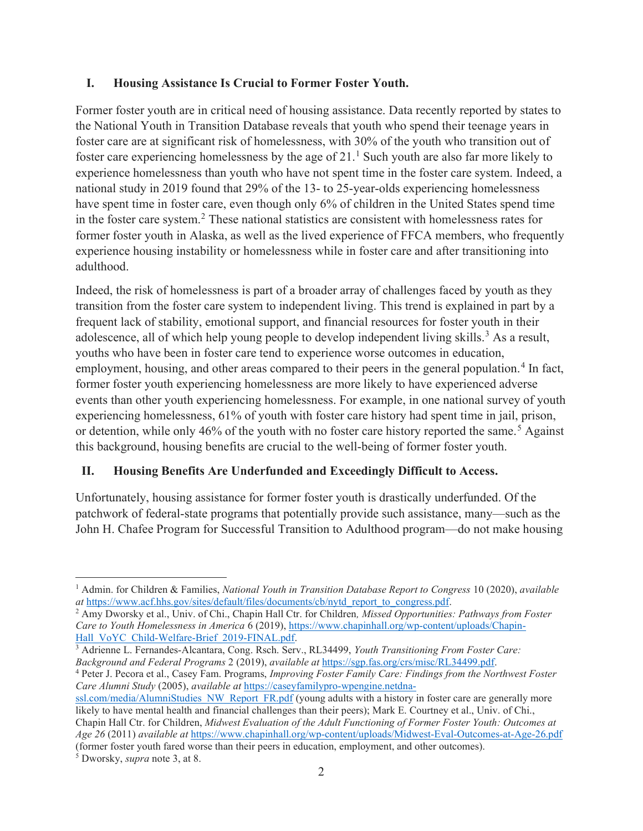## I. Housing Assistance Is Crucial to Former Foster Youth.

Former foster youth are in critical need of housing assistance. Data recently reported by states to the National Youth in Transition Database reveals that youth who spend their teenage years in foster care are at significant risk of homelessness, with 30% of the youth who transition out of foster care experiencing homelessness by the age of  $21<sup>1</sup>$  Such youth are also far more likely to experience homelessness than youth who have not spent time in the foster care system. Indeed, a national study in 2019 found that 29% of the 13- to 25-year-olds experiencing homelessness have spent time in foster care, even though only 6% of children in the United States spend time in the foster care system.<sup>2</sup> These national statistics are consistent with homelessness rates for former foster youth in Alaska, as well as the lived experience of FFCA members, who frequently experience housing instability or homelessness while in foster care and after transitioning into adulthood.

Indeed, the risk of homelessness is part of a broader array of challenges faced by youth as they transition from the foster care system to independent living. This trend is explained in part by a frequent lack of stability, emotional support, and financial resources for foster youth in their adolescence, all of which help young people to develop independent living skills.<sup>3</sup> As a result, youths who have been in foster care tend to experience worse outcomes in education, employment, housing, and other areas compared to their peers in the general population.<sup>4</sup> In fact, former foster youth experiencing homelessness are more likely to have experienced adverse events than other youth experiencing homelessness. For example, in one national survey of youth experiencing homelessness, 61% of youth with foster care history had spent time in jail, prison, or detention, while only 46% of the youth with no foster care history reported the same.<sup>5</sup> Against this background, housing benefits are crucial to the well-being of former foster youth.

## II. Housing Benefits Are Underfunded and Exceedingly Difficult to Access.

Unfortunately, housing assistance for former foster youth is drastically underfunded. Of the patchwork of federal-state programs that potentially provide such assistance, many—such as the John H. Chafee Program for Successful Transition to Adulthood program—do not make housing

<sup>3</sup> Adrienne L. Fernandes-Alcantara, Cong. Rsch. Serv., RL34499, Youth Transitioning From Foster Care: Background and Federal Programs 2 (2019), available at https://sgp.fas.org/crs/misc/RL34499.pdf.

<sup>4</sup> Peter J. Pecora et al., Casey Fam. Programs, Improving Foster Family Care: Findings from the Northwest Foster Care Alumni Study (2005), available at https://caseyfamilypro-wpengine.netdna-

<sup>&</sup>lt;sup>1</sup> Admin. for Children & Families, *National Youth in Transition Database Report to Congress* 10 (2020), *available* at https://www.acf.hhs.gov/sites/default/files/documents/cb/nytd\_report\_to\_congress.pdf.

<sup>&</sup>lt;sup>2</sup> Amy Dworsky et al., Univ. of Chi., Chapin Hall Ctr. for Children, *Missed Opportunities: Pathways from Foster* Care to Youth Homelessness in America 6 (2019), https://www.chapinhall.org/wp-content/uploads/Chapin-Hall\_VoYC\_Child-Welfare-Brief\_2019-FINAL.pdf.

ssl.com/media/AlumniStudies\_NW\_Report\_FR.pdf (young adults with a history in foster care are generally more likely to have mental health and financial challenges than their peers); Mark E. Courtney et al., Univ. of Chi., Chapin Hall Ctr. for Children, Midwest Evaluation of the Adult Functioning of Former Foster Youth: Outcomes at Age 26 (2011) available at https://www.chapinhall.org/wp-content/uploads/Midwest-Eval-Outcomes-at-Age-26.pdf (former foster youth fared worse than their peers in education, employment, and other outcomes).

<sup>&</sup>lt;sup>5</sup> Dworsky, *supra* note 3, at 8.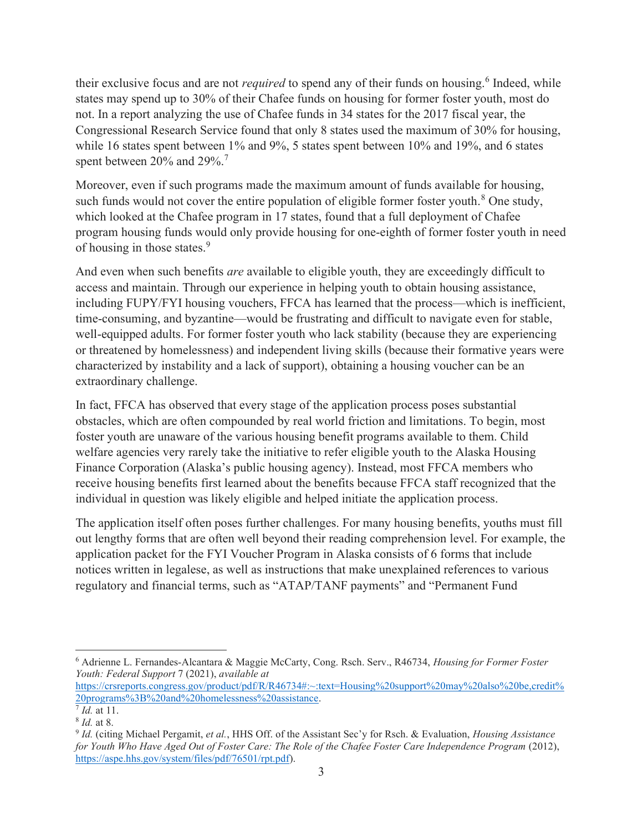their exclusive focus and are not *required* to spend any of their funds on housing.<sup>6</sup> Indeed, while states may spend up to 30% of their Chafee funds on housing for former foster youth, most do not. In a report analyzing the use of Chafee funds in 34 states for the 2017 fiscal year, the Congressional Research Service found that only 8 states used the maximum of 30% for housing, while 16 states spent between 1% and 9%, 5 states spent between 10% and 19%, and 6 states spent between  $20\%$  and  $29\%$ .<sup>7</sup>

Moreover, even if such programs made the maximum amount of funds available for housing, such funds would not cover the entire population of eligible former foster youth.<sup>8</sup> One study, which looked at the Chafee program in 17 states, found that a full deployment of Chafee program housing funds would only provide housing for one-eighth of former foster youth in need of housing in those states.<sup>9</sup>

And even when such benefits *are* available to eligible youth, they are exceedingly difficult to access and maintain. Through our experience in helping youth to obtain housing assistance, including FUPY/FYI housing vouchers, FFCA has learned that the process—which is inefficient, time-consuming, and byzantine—would be frustrating and difficult to navigate even for stable, well-equipped adults. For former foster youth who lack stability (because they are experiencing or threatened by homelessness) and independent living skills (because their formative years were characterized by instability and a lack of support), obtaining a housing voucher can be an extraordinary challenge.

In fact, FFCA has observed that every stage of the application process poses substantial obstacles, which are often compounded by real world friction and limitations. To begin, most foster youth are unaware of the various housing benefit programs available to them. Child welfare agencies very rarely take the initiative to refer eligible youth to the Alaska Housing Finance Corporation (Alaska's public housing agency). Instead, most FFCA members who receive housing benefits first learned about the benefits because FFCA staff recognized that the individual in question was likely eligible and helped initiate the application process.

The application itself often poses further challenges. For many housing benefits, youths must fill out lengthy forms that are often well beyond their reading comprehension level. For example, the application packet for the FYI Voucher Program in Alaska consists of 6 forms that include notices written in legalese, as well as instructions that make unexplained references to various regulatory and financial terms, such as "ATAP/TANF payments" and "Permanent Fund

<sup>&</sup>lt;sup>6</sup> Adrienne L. Fernandes-Alcantara & Maggie McCarty, Cong. Rsch. Serv., R46734, Housing for Former Foster Youth: Federal Support 7 (2021), available at

https://crsreports.congress.gov/product/pdf/R/R46734#:~:text=Housing%20support%20may%20also%20be,credit% 20programs%3B%20and%20homelessness%20assistance.

<sup>&</sup>lt;sup>7</sup> *Id.* at 11.

<sup>8</sup> Id. at 8.

<sup>&</sup>lt;sup>9</sup> Id. (citing Michael Pergamit, et al., HHS Off. of the Assistant Sec'y for Rsch. & Evaluation, Housing Assistance for Youth Who Have Aged Out of Foster Care: The Role of the Chafee Foster Care Independence Program (2012), https://aspe.hhs.gov/system/files/pdf/76501/rpt.pdf).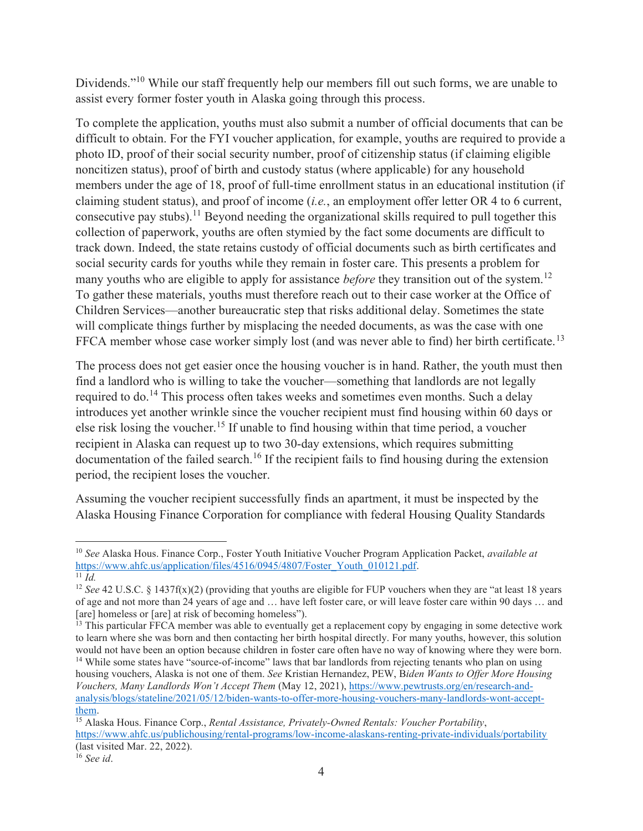Dividends."<sup>10</sup> While our staff frequently help our members fill out such forms, we are unable to assist every former foster youth in Alaska going through this process.

To complete the application, youths must also submit a number of official documents that can be difficult to obtain. For the FYI voucher application, for example, youths are required to provide a photo ID, proof of their social security number, proof of citizenship status (if claiming eligible noncitizen status), proof of birth and custody status (where applicable) for any household members under the age of 18, proof of full-time enrollment status in an educational institution (if claiming student status), and proof of income (i.e., an employment offer letter OR 4 to 6 current, consecutive pay stubs).<sup>11</sup> Beyond needing the organizational skills required to pull together this collection of paperwork, youths are often stymied by the fact some documents are difficult to track down. Indeed, the state retains custody of official documents such as birth certificates and social security cards for youths while they remain in foster care. This presents a problem for many youths who are eligible to apply for assistance *before* they transition out of the system.<sup>12</sup> To gather these materials, youths must therefore reach out to their case worker at the Office of Children Services—another bureaucratic step that risks additional delay. Sometimes the state will complicate things further by misplacing the needed documents, as was the case with one FFCA member whose case worker simply lost (and was never able to find) her birth certificate.<sup>13</sup>

The process does not get easier once the housing voucher is in hand. Rather, the youth must then find a landlord who is willing to take the voucher—something that landlords are not legally required to do.<sup>14</sup> This process often takes weeks and sometimes even months. Such a delay introduces yet another wrinkle since the voucher recipient must find housing within 60 days or else risk losing the voucher.<sup>15</sup> If unable to find housing within that time period, a voucher recipient in Alaska can request up to two 30-day extensions, which requires submitting documentation of the failed search.<sup>16</sup> If the recipient fails to find housing during the extension period, the recipient loses the voucher.

Assuming the voucher recipient successfully finds an apartment, it must be inspected by the Alaska Housing Finance Corporation for compliance with federal Housing Quality Standards

<sup>&</sup>lt;sup>10</sup> See Alaska Hous. Finance Corp., Foster Youth Initiative Voucher Program Application Packet, *available at* https://www.ahfc.us/application/files/4516/0945/4807/Foster\_Youth\_010121.pdf.  $\overline{11}$   $\overline{Id}$ 

<sup>&</sup>lt;sup>12</sup> See 42 U.S.C. § 1437f(x)(2) (providing that youths are eligible for FUP vouchers when they are "at least 18 years of age and not more than 24 years of age and … have left foster care, or will leave foster care within 90 days … and [are] homeless or [are] at risk of becoming homeless").

 $<sup>13</sup>$  This particular FFCA member was able to eventually get a replacement copy by engaging in some detective work</sup> to learn where she was born and then contacting her birth hospital directly. For many youths, however, this solution would not have been an option because children in foster care often have no way of knowing where they were born. <sup>14</sup> While some states have "source-of-income" laws that bar landlords from rejecting tenants who plan on using housing vouchers, Alaska is not one of them. See Kristian Hernandez, PEW, Biden Wants to Offer More Housing Vouchers, Many Landlords Won't Accept Them (May 12, 2021), https://www.pewtrusts.org/en/research-andanalysis/blogs/stateline/2021/05/12/biden-wants-to-offer-more-housing-vouchers-many-landlords-wont-acceptthem.

 $\frac{15}{15}$  Alaska Hous. Finance Corp., *Rental Assistance, Privately-Owned Rentals: Voucher Portability*, https://www.ahfc.us/publichousing/rental-programs/low-income-alaskans-renting-private-individuals/portability (last visited Mar. 22, 2022).

 $16$  See id.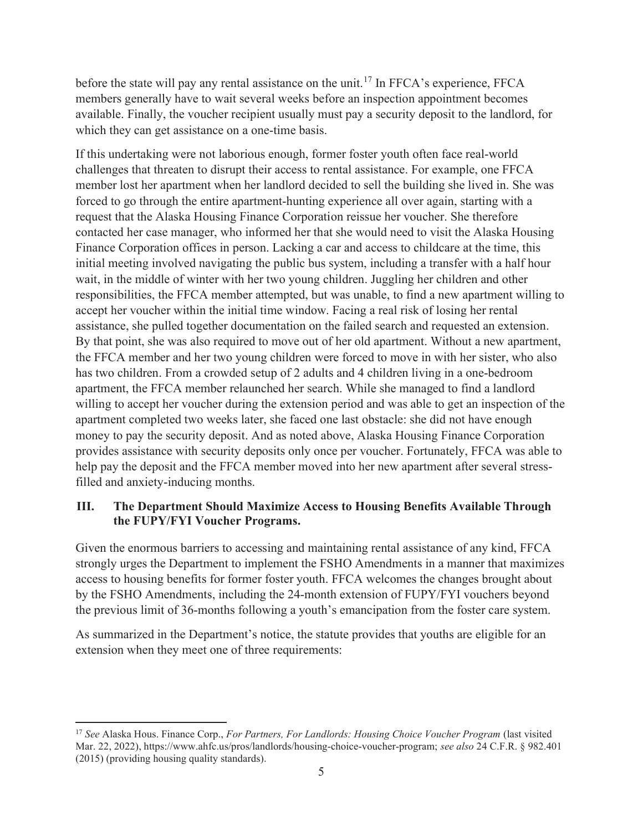before the state will pay any rental assistance on the unit.<sup>17</sup> In FFCA's experience, FFCA members generally have to wait several weeks before an inspection appointment becomes available. Finally, the voucher recipient usually must pay a security deposit to the landlord, for which they can get assistance on a one-time basis.

If this undertaking were not laborious enough, former foster youth often face real-world challenges that threaten to disrupt their access to rental assistance. For example, one FFCA member lost her apartment when her landlord decided to sell the building she lived in. She was forced to go through the entire apartment-hunting experience all over again, starting with a request that the Alaska Housing Finance Corporation reissue her voucher. She therefore contacted her case manager, who informed her that she would need to visit the Alaska Housing Finance Corporation offices in person. Lacking a car and access to childcare at the time, this initial meeting involved navigating the public bus system, including a transfer with a half hour wait, in the middle of winter with her two young children. Juggling her children and other responsibilities, the FFCA member attempted, but was unable, to find a new apartment willing to accept her voucher within the initial time window. Facing a real risk of losing her rental assistance, she pulled together documentation on the failed search and requested an extension. By that point, she was also required to move out of her old apartment. Without a new apartment, the FFCA member and her two young children were forced to move in with her sister, who also has two children. From a crowded setup of 2 adults and 4 children living in a one-bedroom apartment, the FFCA member relaunched her search. While she managed to find a landlord willing to accept her voucher during the extension period and was able to get an inspection of the apartment completed two weeks later, she faced one last obstacle: she did not have enough money to pay the security deposit. And as noted above, Alaska Housing Finance Corporation provides assistance with security deposits only once per voucher. Fortunately, FFCA was able to help pay the deposit and the FFCA member moved into her new apartment after several stressfilled and anxiety-inducing months.

## III. The Department Should Maximize Access to Housing Benefits Available Through the FUPY/FYI Voucher Programs.

Given the enormous barriers to accessing and maintaining rental assistance of any kind, FFCA strongly urges the Department to implement the FSHO Amendments in a manner that maximizes access to housing benefits for former foster youth. FFCA welcomes the changes brought about by the FSHO Amendments, including the 24-month extension of FUPY/FYI vouchers beyond the previous limit of 36-months following a youth's emancipation from the foster care system.

As summarized in the Department's notice, the statute provides that youths are eligible for an extension when they meet one of three requirements:

<sup>&</sup>lt;sup>17</sup> See Alaska Hous. Finance Corp., For Partners, For Landlords: Housing Choice Voucher Program (last visited Mar. 22, 2022), https://www.ahfc.us/pros/landlords/housing-choice-voucher-program; see also 24 C.F.R. § 982.401 (2015) (providing housing quality standards).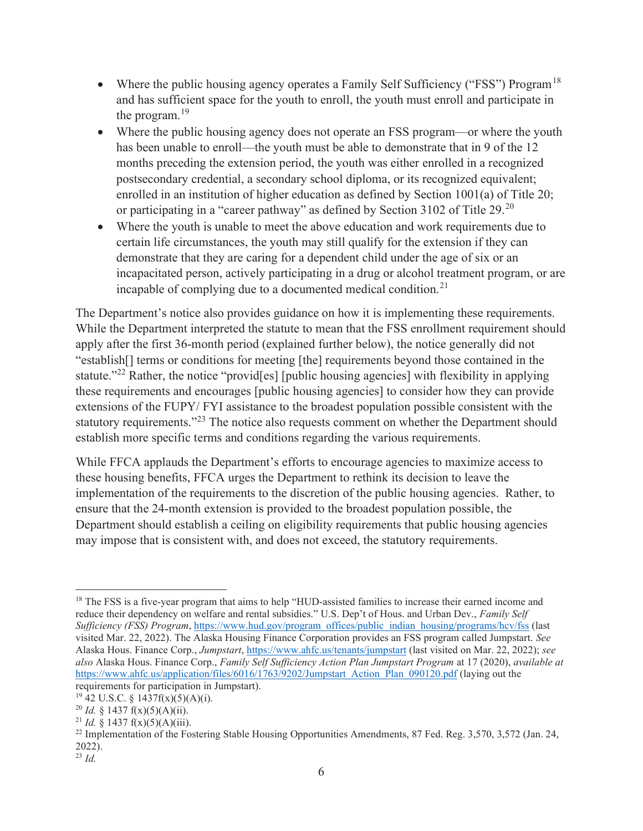- Where the public housing agency operates a Family Self Sufficiency ("FSS") Program<sup>18</sup> and has sufficient space for the youth to enroll, the youth must enroll and participate in the program.<sup>19</sup>
- Where the public housing agency does not operate an FSS program—or where the youth has been unable to enroll—the youth must be able to demonstrate that in 9 of the 12 months preceding the extension period, the youth was either enrolled in a recognized postsecondary credential, a secondary school diploma, or its recognized equivalent; enrolled in an institution of higher education as defined by Section 1001(a) of Title 20; or participating in a "career pathway" as defined by Section 3102 of Title 29.<sup>20</sup>
- Where the youth is unable to meet the above education and work requirements due to certain life circumstances, the youth may still qualify for the extension if they can demonstrate that they are caring for a dependent child under the age of six or an incapacitated person, actively participating in a drug or alcohol treatment program, or are incapable of complying due to a documented medical condition.<sup>21</sup>

The Department's notice also provides guidance on how it is implementing these requirements. While the Department interpreted the statute to mean that the FSS enrollment requirement should apply after the first 36-month period (explained further below), the notice generally did not "establish[] terms or conditions for meeting [the] requirements beyond those contained in the statute."<sup>22</sup> Rather, the notice "provid<sup>[es]</sup> [public housing agencies] with flexibility in applying these requirements and encourages [public housing agencies] to consider how they can provide extensions of the FUPY/ FYI assistance to the broadest population possible consistent with the statutory requirements."<sup>23</sup> The notice also requests comment on whether the Department should establish more specific terms and conditions regarding the various requirements.

While FFCA applauds the Department's efforts to encourage agencies to maximize access to these housing benefits, FFCA urges the Department to rethink its decision to leave the implementation of the requirements to the discretion of the public housing agencies. Rather, to ensure that the 24-month extension is provided to the broadest population possible, the Department should establish a ceiling on eligibility requirements that public housing agencies may impose that is consistent with, and does not exceed, the statutory requirements.

<sup>&</sup>lt;sup>18</sup> The FSS is a five-year program that aims to help "HUD-assisted families to increase their earned income and reduce their dependency on welfare and rental subsidies." U.S. Dep't of Hous. and Urban Dev., Family Self Sufficiency (FSS) Program, https://www.hud.gov/program\_offices/public\_indian\_housing/programs/hcv/fss (last visited Mar. 22, 2022). The Alaska Housing Finance Corporation provides an FSS program called Jumpstart. See Alaska Hous. Finance Corp., Jumpstart, https://www.ahfc.us/tenants/jumpstart (last visited on Mar. 22, 2022); see also Alaska Hous. Finance Corp., Family Self Sufficiency Action Plan Jumpstart Program at 17 (2020), available at https://www.ahfc.us/application/files/6016/1763/9202/Jumpstart\_Action\_Plan\_090120.pdf (laying out the requirements for participation in Jumpstart).

 $19$  42 U.S.C. § 1437f(x)(5)(A)(i).

<sup>&</sup>lt;sup>20</sup> *Id.* § 1437 f(x)(5)(A)(ii).

<sup>&</sup>lt;sup>21</sup> *Id.* § 1437 f(x)(5)(A)(iii).

<sup>&</sup>lt;sup>22</sup> Implementation of the Fostering Stable Housing Opportunities Amendments, 87 Fed. Reg. 3,570, 3,572 (Jan. 24, 2022).

 $^{23}$  Id.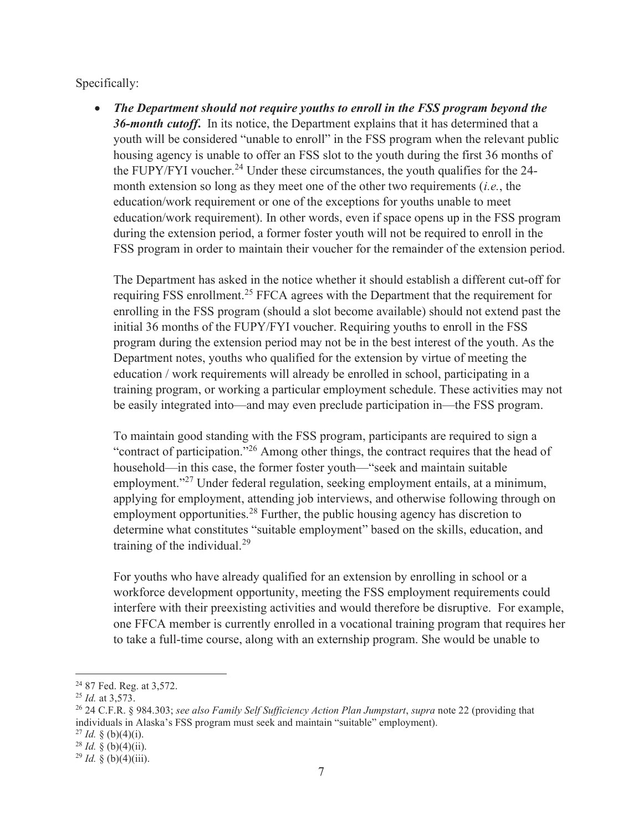Specifically:

 The Department should not require youths to enroll in the FSS program beyond the 36-month cutoff. In its notice, the Department explains that it has determined that a youth will be considered "unable to enroll" in the FSS program when the relevant public housing agency is unable to offer an FSS slot to the youth during the first 36 months of the FUPY/FYI voucher.<sup>24</sup> Under these circumstances, the youth qualifies for the 24month extension so long as they meet one of the other two requirements *(i.e.*, the education/work requirement or one of the exceptions for youths unable to meet education/work requirement). In other words, even if space opens up in the FSS program during the extension period, a former foster youth will not be required to enroll in the FSS program in order to maintain their voucher for the remainder of the extension period.

The Department has asked in the notice whether it should establish a different cut-off for requiring FSS enrollment.<sup>25</sup> FFCA agrees with the Department that the requirement for enrolling in the FSS program (should a slot become available) should not extend past the initial 36 months of the FUPY/FYI voucher. Requiring youths to enroll in the FSS program during the extension period may not be in the best interest of the youth. As the Department notes, youths who qualified for the extension by virtue of meeting the education / work requirements will already be enrolled in school, participating in a training program, or working a particular employment schedule. These activities may not be easily integrated into—and may even preclude participation in—the FSS program.

To maintain good standing with the FSS program, participants are required to sign a "contract of participation."<sup>26</sup> Among other things, the contract requires that the head of household—in this case, the former foster youth—"seek and maintain suitable employment."<sup>27</sup> Under federal regulation, seeking employment entails, at a minimum, applying for employment, attending job interviews, and otherwise following through on employment opportunities.<sup>28</sup> Further, the public housing agency has discretion to determine what constitutes "suitable employment" based on the skills, education, and training of the individual.<sup>29</sup>

For youths who have already qualified for an extension by enrolling in school or a workforce development opportunity, meeting the FSS employment requirements could interfere with their preexisting activities and would therefore be disruptive. For example, one FFCA member is currently enrolled in a vocational training program that requires her to take a full-time course, along with an externship program. She would be unable to

 $27$  *Id.* § (b)(4)(i).

<sup>&</sup>lt;sup>24</sup> 87 Fed. Reg. at 3,572.

<sup>25</sup> Id. at 3,573.

<sup>&</sup>lt;sup>26</sup> 24 C.F.R. § 984.303; see also Family Self Sufficiency Action Plan Jumpstart, supra note 22 (providing that individuals in Alaska's FSS program must seek and maintain "suitable" employment).

 $28$  *Id.* § (b)(4)(ii).

 $^{29}$  *Id.* § (b)(4)(iii).